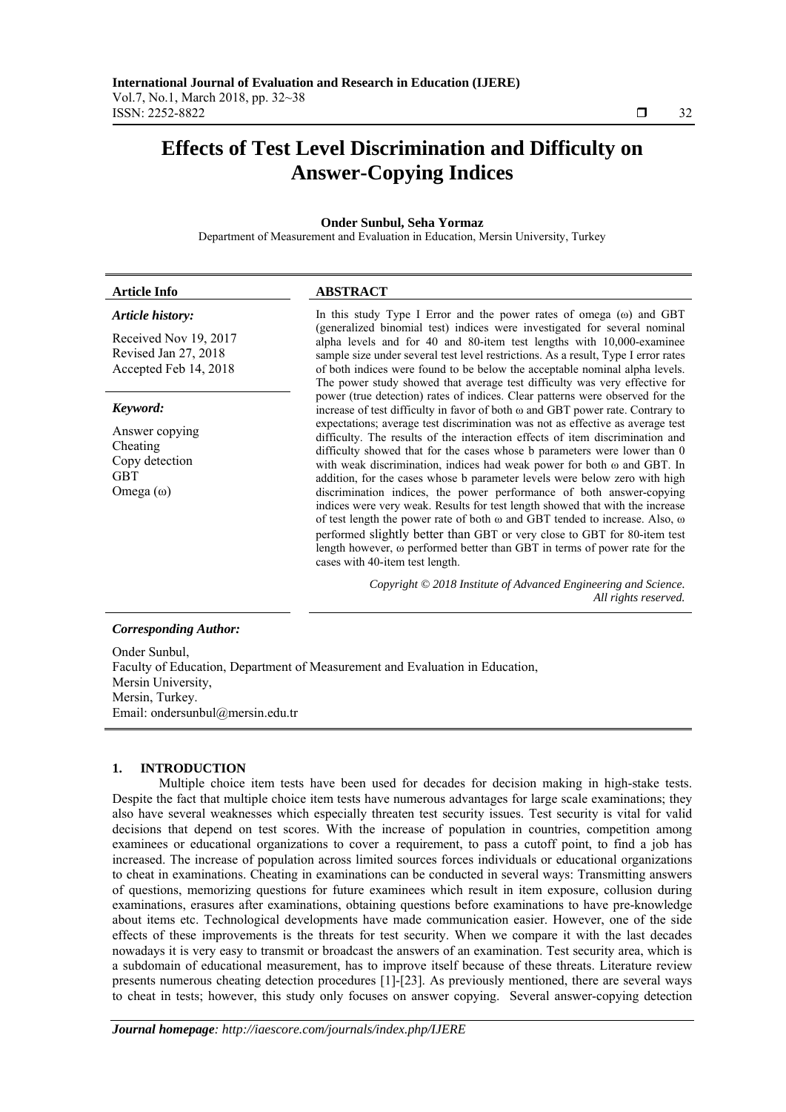# **Effects of Test Level Discrimination and Difficulty on Answer-Copying Indices**

# **Onder Sunbul, Seha Yormaz**

Department of Measurement and Evaluation in Education, Mersin University, Turkey

# **Article Info ABSTRACT**  *Article history:*

Received Nov 19, 2017 Revised Jan 27, 2018 Accepted Feb 14, 2018

#### *Keyword:*

Answer copying Cheating Copy detection GBT Omega (ω)

In this study Type I Error and the power rates of omega  $(\omega)$  and GBT (generalized binomial test) indices were investigated for several nominal alpha levels and for 40 and 80-item test lengths with 10,000-examinee sample size under several test level restrictions. As a result, Type I error rates of both indices were found to be below the acceptable nominal alpha levels. The power study showed that average test difficulty was very effective for power (true detection) rates of indices. Clear patterns were observed for the increase of test difficulty in favor of both ω and GBT power rate. Contrary to expectations; average test discrimination was not as effective as average test difficulty. The results of the interaction effects of item discrimination and difficulty showed that for the cases whose b parameters were lower than 0 with weak discrimination, indices had weak power for both ω and GBT. In addition, for the cases whose b parameter levels were below zero with high discrimination indices, the power performance of both answer-copying indices were very weak. Results for test length showed that with the increase of test length the power rate of both ω and GBT tended to increase. Also, ω performed slightly better than GBT or very close to GBT for 80-item test length however, ω performed better than GBT in terms of power rate for the cases with 40-item test length.

> *Copyright © 2018 Institute of Advanced Engineering and Science. All rights reserved.*

# *Corresponding Author:*

Onder Sunbul, Faculty of Education, Department of Measurement and Evaluation in Education, Mersin University, Mersin, Turkey. Email: ondersunbul@mersin.edu.tr

# **1. INTRODUCTION**

Multiple choice item tests have been used for decades for decision making in high-stake tests. Despite the fact that multiple choice item tests have numerous advantages for large scale examinations; they also have several weaknesses which especially threaten test security issues. Test security is vital for valid decisions that depend on test scores. With the increase of population in countries, competition among examinees or educational organizations to cover a requirement, to pass a cutoff point, to find a job has increased. The increase of population across limited sources forces individuals or educational organizations to cheat in examinations. Cheating in examinations can be conducted in several ways: Transmitting answers of questions, memorizing questions for future examinees which result in item exposure, collusion during examinations, erasures after examinations, obtaining questions before examinations to have pre-knowledge about items etc. Technological developments have made communication easier. However, one of the side effects of these improvements is the threats for test security. When we compare it with the last decades nowadays it is very easy to transmit or broadcast the answers of an examination. Test security area, which is a subdomain of educational measurement, has to improve itself because of these threats. Literature review presents numerous cheating detection procedures [1]-[23]. As previously mentioned, there are several ways to cheat in tests; however, this study only focuses on answer copying. Several answer-copying detection

ֺֺ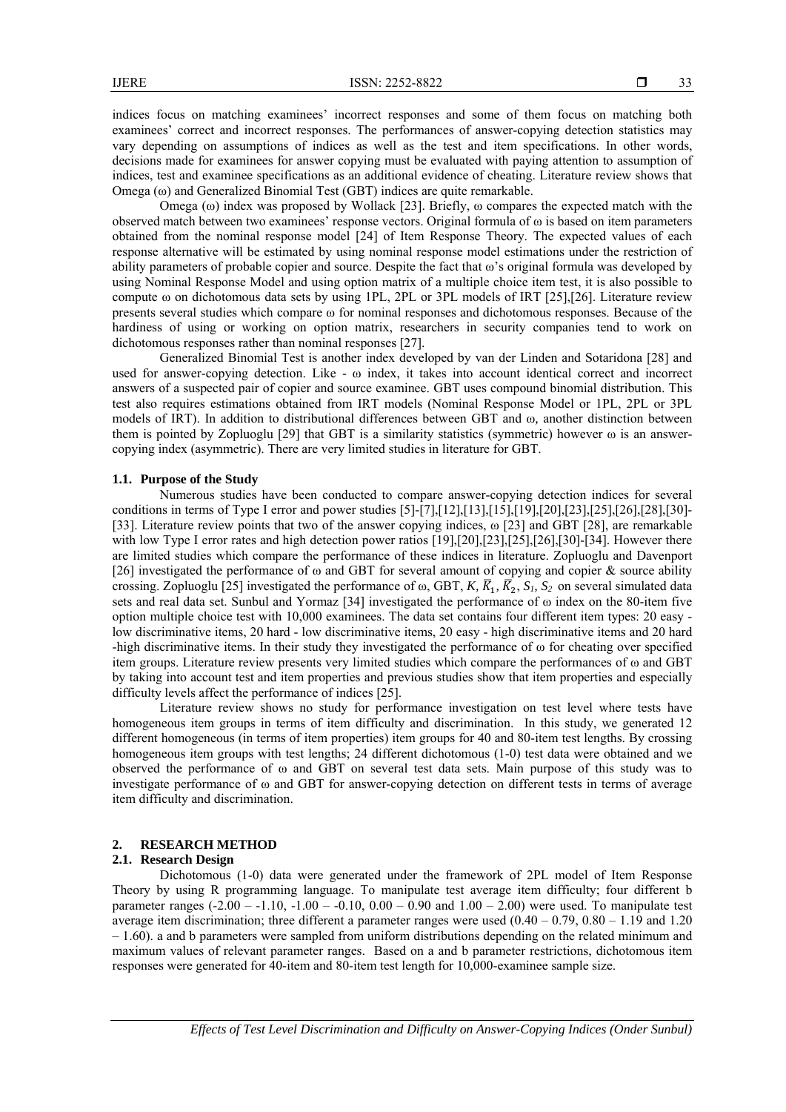indices focus on matching examinees' incorrect responses and some of them focus on matching both examinees' correct and incorrect responses. The performances of answer-copying detection statistics may vary depending on assumptions of indices as well as the test and item specifications. In other words, decisions made for examinees for answer copying must be evaluated with paying attention to assumption of indices, test and examinee specifications as an additional evidence of cheating. Literature review shows that Omega (ω) and Generalized Binomial Test (GBT) indices are quite remarkable.

Omega ( $\omega$ ) index was proposed by Wollack [23]. Briefly,  $\omega$  compares the expected match with the observed match between two examinees' response vectors. Original formula of  $\omega$  is based on item parameters obtained from the nominal response model [24] of Item Response Theory. The expected values of each response alternative will be estimated by using nominal response model estimations under the restriction of ability parameters of probable copier and source. Despite the fact that ω's original formula was developed by using Nominal Response Model and using option matrix of a multiple choice item test, it is also possible to compute ω on dichotomous data sets by using 1PL, 2PL or 3PL models of IRT [25],[26]. Literature review presents several studies which compare ω for nominal responses and dichotomous responses. Because of the hardiness of using or working on option matrix, researchers in security companies tend to work on dichotomous responses rather than nominal responses [27].

Generalized Binomial Test is another index developed by van der Linden and Sotaridona [28] and used for answer-copying detection. Like -  $\omega$  index, it takes into account identical correct and incorrect answers of a suspected pair of copier and source examinee. GBT uses compound binomial distribution. This test also requires estimations obtained from IRT models (Nominal Response Model or 1PL, 2PL or 3PL models of IRT). In addition to distributional differences between GBT and ω*,* another distinction between them is pointed by Zopluoglu [29] that GBT is a similarity statistics (symmetric) however ω is an answercopying index (asymmetric). There are very limited studies in literature for GBT.

#### **1.1. Purpose of the Study**

Numerous studies have been conducted to compare answer-copying detection indices for several conditions in terms of Type I error and power studies [5]-[7],[12],[13],[15],[19],[20],[23],[25],[26],[28],[30]- [33]. Literature review points that two of the answer copying indices, ω [23] and GBT [28], are remarkable with low Type I error rates and high detection power ratios [19],[20],[23],[25],[26],[30]-[34]. However there are limited studies which compare the performance of these indices in literature. Zopluoglu and Davenport [26] investigated the performance of  $\omega$  and GBT for several amount of copying and copier & source ability crossing. Zopluoglu [25] investigated the performance of  $\omega$ , GBT, *K*,  $\overline{K}_1$ ,  $\overline{K}_2$ ,  $S_1$ ,  $S_2$  on several simulated data sets and real data set. Sunbul and Yormaz [34] investigated the performance of  $\omega$  index on the 80-item five option multiple choice test with 10,000 examinees. The data set contains four different item types: 20 easy low discriminative items, 20 hard - low discriminative items, 20 easy - high discriminative items and 20 hard -high discriminative items. In their study they investigated the performance of ω for cheating over specified item groups. Literature review presents very limited studies which compare the performances of ω and GBT by taking into account test and item properties and previous studies show that item properties and especially difficulty levels affect the performance of indices [25].

Literature review shows no study for performance investigation on test level where tests have homogeneous item groups in terms of item difficulty and discrimination. In this study, we generated 12 different homogeneous (in terms of item properties) item groups for 40 and 80-item test lengths. By crossing homogeneous item groups with test lengths; 24 different dichotomous (1-0) test data were obtained and we observed the performance of ω and GBT on several test data sets. Main purpose of this study was to investigate performance of ω and GBT for answer-copying detection on different tests in terms of average item difficulty and discrimination.

#### **2. RESEARCH METHOD**

#### **2.1. Research Design**

Dichotomous (1-0) data were generated under the framework of 2PL model of Item Response Theory by using R programming language. To manipulate test average item difficulty; four different b parameter ranges  $(-2.00 - (-1.10, -1.00 - (-0.10, 0.00 - 0.90, -0.90)$  and  $(-1.00 - (-0.10, 0.00 - (-0.10, -0.00))$  were used. To manipulate test average item discrimination; three different a parameter ranges were used  $(0.40 - 0.79, 0.80 - 1.19$  and 1.20 – 1.60). a and b parameters were sampled from uniform distributions depending on the related minimum and maximum values of relevant parameter ranges. Based on a and b parameter restrictions, dichotomous item responses were generated for 40-item and 80-item test length for 10,000-examinee sample size.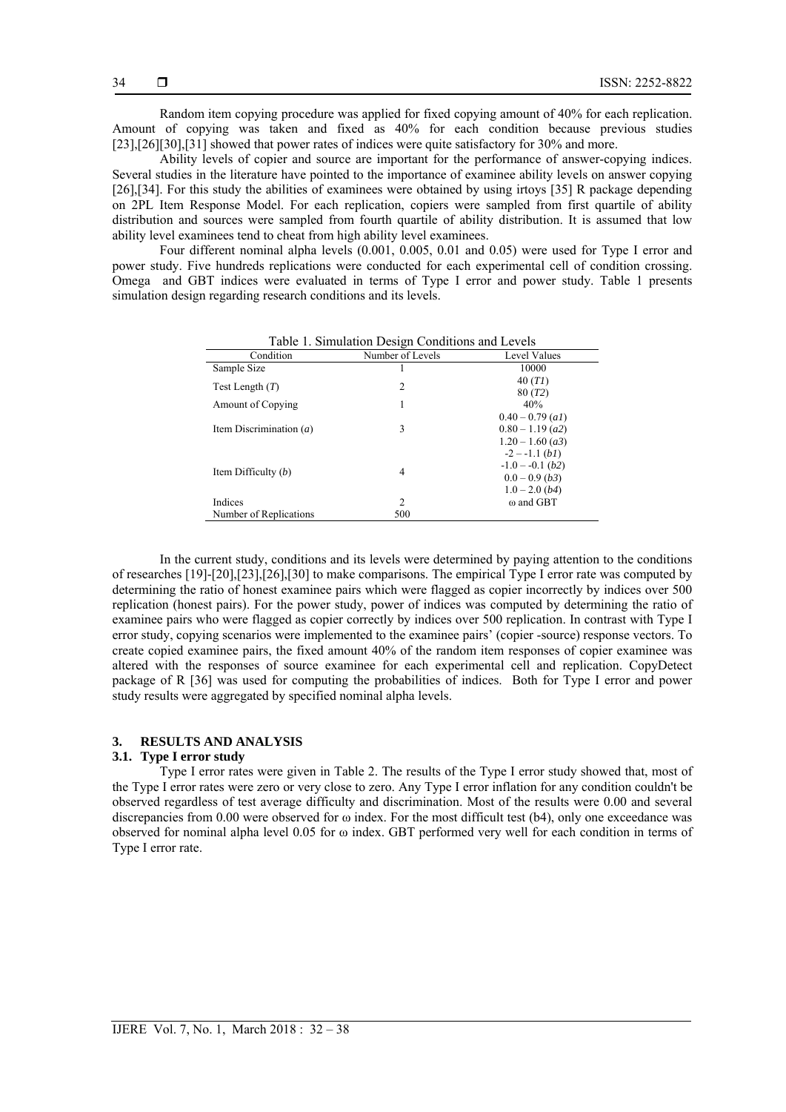Random item copying procedure was applied for fixed copying amount of 40% for each replication. Amount of copying was taken and fixed as 40% for each condition because previous studies [23],[26][30],[31] showed that power rates of indices were quite satisfactory for 30% and more.

Ability levels of copier and source are important for the performance of answer-copying indices. Several studies in the literature have pointed to the importance of examinee ability levels on answer copying [26],[34]. For this study the abilities of examinees were obtained by using irtoys [35] R package depending on 2PL Item Response Model. For each replication, copiers were sampled from first quartile of ability distribution and sources were sampled from fourth quartile of ability distribution. It is assumed that low ability level examinees tend to cheat from high ability level examinees.

Four different nominal alpha levels (0.001, 0.005, 0.01 and 0.05) were used for Type I error and power study. Five hundreds replications were conducted for each experimental cell of condition crossing. Omega and GBT indices were evaluated in terms of Type I error and power study. Table 1 presents simulation design regarding research conditions and its levels.

| Condition                 | Number of Levels | Level Values       |  |  |  |  |
|---------------------------|------------------|--------------------|--|--|--|--|
| Sample Size               |                  | 10000              |  |  |  |  |
| Test Length $(T)$         | $\overline{c}$   | 40(TI)             |  |  |  |  |
|                           |                  | 80(T2)             |  |  |  |  |
| Amount of Copying         | 1                | 40%                |  |  |  |  |
|                           |                  | $0.40 - 0.79$ (al) |  |  |  |  |
| Item Discrimination $(a)$ | 3                | $0.80 - 1.19$ (a2) |  |  |  |  |
|                           |                  | $1.20 - 1.60$ (a3) |  |  |  |  |
|                           |                  | $-2 - -1.1$ (b1)   |  |  |  |  |
| Item Difficulty $(b)$     | $\overline{4}$   | $-1.0 - -0.1$ (b2) |  |  |  |  |
|                           |                  | $0.0 - 0.9$ (b3)   |  |  |  |  |
|                           |                  | $1.0 - 2.0$ (b4)   |  |  |  |  |
| Indices                   | $\overline{c}$   | ω and GBT          |  |  |  |  |
| Number of Replications    | 500              |                    |  |  |  |  |

Table 1. Simulation Design Conditions and Levels

In the current study, conditions and its levels were determined by paying attention to the conditions of researches [19]-[20],[23],[26],[30] to make comparisons. The empirical Type I error rate was computed by determining the ratio of honest examinee pairs which were flagged as copier incorrectly by indices over 500 replication (honest pairs). For the power study, power of indices was computed by determining the ratio of examinee pairs who were flagged as copier correctly by indices over 500 replication. In contrast with Type I error study, copying scenarios were implemented to the examinee pairs' (copier -source) response vectors. To create copied examinee pairs, the fixed amount 40% of the random item responses of copier examinee was altered with the responses of source examinee for each experimental cell and replication. CopyDetect package of R [36] was used for computing the probabilities of indices. Both for Type I error and power study results were aggregated by specified nominal alpha levels.

#### **3. RESULTS AND ANALYSIS**

# **3.1. Type I error study**

Type I error rates were given in Table 2. The results of the Type I error study showed that, most of the Type I error rates were zero or very close to zero. Any Type I error inflation for any condition couldn't be observed regardless of test average difficulty and discrimination. Most of the results were 0.00 and several discrepancies from 0.00 were observed for  $\omega$  index. For the most difficult test (b4), only one exceedance was observed for nominal alpha level 0.05 for ω index. GBT performed very well for each condition in terms of Type I error rate.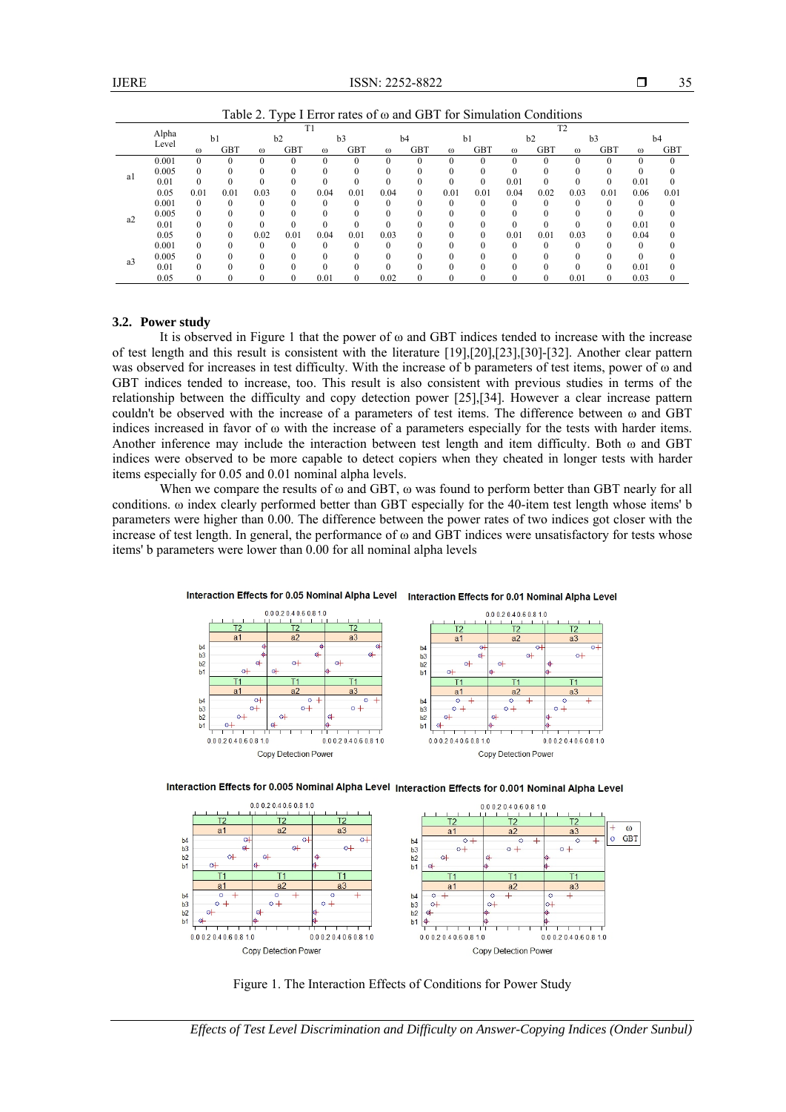|       | Alpha          | - 1<br>T1    |                  |                |              |          |                | T <sub>2</sub> |            |              |              |              |              |          |                |              |            |
|-------|----------------|--------------|------------------|----------------|--------------|----------|----------------|----------------|------------|--------------|--------------|--------------|--------------|----------|----------------|--------------|------------|
| Level | b <sub>1</sub> |              | b2               | b <sub>3</sub> |              | b4       | b <sub>1</sub> |                | b2         |              | b3           |              | b4           |          |                |              |            |
|       |                | $\omega$     | <b>GBT</b>       | $\omega$       | <b>GBT</b>   | $\omega$ | <b>GBT</b>     | $\omega$       | <b>GBT</b> | $\omega$     | <b>GBT</b>   | $\omega$     | <b>GBT</b>   | $\omega$ | <b>GBT</b>     | $\omega$     | <b>GBT</b> |
| a1    | 0.001          | $\mathbf{0}$ | $\mathbf{0}$     | $\Omega$       | 0            | $\theta$ | $\theta$       | $\Omega$       | $\theta$   | $\theta$     | $\mathbf{0}$ | $\mathbf{0}$ | $\mathbf{0}$ | 0        | $\mathbf{0}$   | $\mathbf{0}$ | $\Omega$   |
|       | 0.005          | $\theta$     | $\theta$         |                | $\Omega$     | $\theta$ | $\theta$       |                | 0          | $\theta$     | $\theta$     | $\Omega$     | $\theta$     | 0        | $\mathbf{0}$   | $\Omega$     |            |
|       | 0.01           | $\mathbf{0}$ | $\boldsymbol{0}$ | $\theta$       |              | $\Omega$ | $\theta$       |                |            | $\theta$     | $\Omega$     | 0.01         | $\theta$     | 0        | $\mathbf{0}$   | 0.01         | $\Omega$   |
|       | 0.05           | 0.01         | 0.01             | 0.03           | $\Omega$     | 0.04     | 0.01           | 0.04           | $\Omega$   | 0.01         | 0.01         | 0.04         | 0.02         | 0.03     | 0.01           | 0.06         | 0.01       |
| a2    | 0.001          | $\Omega$     | $\theta$         |                |              | $\Omega$ | $\theta$       | $\Omega$       |            | $\Omega$     | $\theta$     |              |              | 0        | $\theta$       | $\Omega$     | $\Omega$   |
|       | 0.005          | $\mathbf{0}$ | $\theta$         |                |              | $\Omega$ |                |                |            | $\theta$     | $\theta$     |              |              | 0        | $\theta$       | $\theta$     |            |
|       | 0.01           | $\theta$     | $\theta$         | $\theta$       | $\theta$     | $\theta$ | $\theta$       | $\Omega$       | 0          | $\theta$     | $\Omega$     | $\Omega$     | $\theta$     | $\theta$ | $\mathbf{0}$   | 0.01         | $\Omega$   |
|       | 0.05           | $\Omega$     | $\theta$         | 0.02           | 0.01         | 0.04     | 0.01           | 0.03           | 0          | $\Omega$     | $\theta$     | 0.01         | 0.01         | 0.03     | $\Omega$       | 0.04         |            |
| a3    | 0.001          | $\Omega$     | $\theta$         | $\Omega$       |              | $\theta$ | $\theta$       | $\theta$       |            |              | $\theta$     |              | 0            | 0        | $\theta$       | $\Omega$     |            |
|       | 0.005          | $\theta$     | $\theta$         |                |              | $\Omega$ | $\Omega$       | $\Omega$       | 0          | $\Omega$     | $\theta$     | $\Omega$     | $\Omega$     | $\theta$ | $\Omega$       | $\Omega$     |            |
|       | 0.01           | $\theta$     | $\theta$         |                |              | $\Omega$ |                | $\Omega$       |            | $\Omega$     | $\theta$     |              |              | 0        | $\mathbf{0}$   | 0.01         |            |
|       | 0.05           | $\mathbf{0}$ | $\boldsymbol{0}$ | $\Omega$       | $\mathbf{0}$ | 0.01     | $\Omega$       | 0.02           | $\theta$   | $\mathbf{0}$ | $\mathbf{0}$ | $\Omega$     | $\Omega$     | 0.01     | $\overline{0}$ | 0.03         | $\bf{0}$   |
|       |                |              |                  |                |              |          |                |                |            |              |              |              |              |          |                |              |            |

Table 2. Type I Error rates of ω and GBT for Simulation Conditions

#### **3.2. Power study**

It is observed in Figure 1 that the power of  $\omega$  and GBT indices tended to increase with the increase of test length and this result is consistent with the literature [19],[20],[23],[30]-[32]. Another clear pattern was observed for increases in test difficulty. With the increase of b parameters of test items, power of ω and GBT indices tended to increase, too. This result is also consistent with previous studies in terms of the relationship between the difficulty and copy detection power [25],[34]. However a clear increase pattern couldn't be observed with the increase of a parameters of test items. The difference between ω and GBT indices increased in favor of ω with the increase of a parameters especially for the tests with harder items. Another inference may include the interaction between test length and item difficulty. Both ω and GBT indices were observed to be more capable to detect copiers when they cheated in longer tests with harder items especially for 0.05 and 0.01 nominal alpha levels.

When we compare the results of  $\omega$  and GBT,  $\omega$  was found to perform better than GBT nearly for all conditions. ω index clearly performed better than GBT especially for the 40-item test length whose items' b parameters were higher than 0.00. The difference between the power rates of two indices got closer with the increase of test length. In general, the performance of ω and GBT indices were unsatisfactory for tests whose items' b parameters were lower than 0.00 for all nominal alpha levels



#### Interaction Effects for 0.05 Nominal Alpha Level Interaction Effects for 0.01 Nominal Alpha Level





Figure 1. The Interaction Effects of Conditions for Power Study

*Effects of Test Level Discrimination and Difficulty on Answer-Copying Indices (Onder Sunbul)*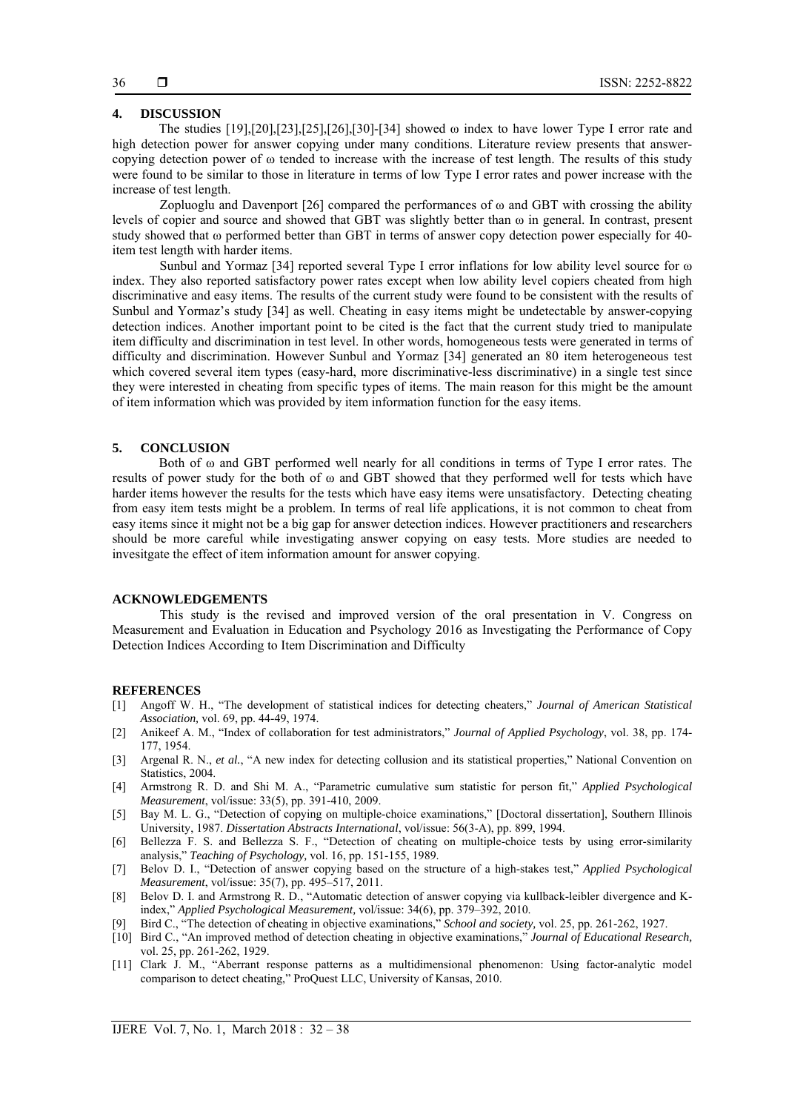#### **4. DISCUSSION**

The studies  $[19],[20],[23],[25],[26],[30]-[34]$  showed  $\omega$  index to have lower Type I error rate and high detection power for answer copying under many conditions. Literature review presents that answercopying detection power of ω tended to increase with the increase of test length. The results of this study were found to be similar to those in literature in terms of low Type I error rates and power increase with the increase of test length.

Zopluoglu and Davenport [26] compared the performances of ω and GBT with crossing the ability levels of copier and source and showed that GBT was slightly better than ω in general. In contrast, present study showed that ω performed better than GBT in terms of answer copy detection power especially for 40 item test length with harder items.

Sunbul and Yormaz [34] reported several Type I error inflations for low ability level source for ω index. They also reported satisfactory power rates except when low ability level copiers cheated from high discriminative and easy items. The results of the current study were found to be consistent with the results of Sunbul and Yormaz's study [34] as well. Cheating in easy items might be undetectable by answer-copying detection indices. Another important point to be cited is the fact that the current study tried to manipulate item difficulty and discrimination in test level. In other words, homogeneous tests were generated in terms of difficulty and discrimination. However Sunbul and Yormaz [34] generated an 80 item heterogeneous test which covered several item types (easy-hard, more discriminative-less discriminative) in a single test since they were interested in cheating from specific types of items. The main reason for this might be the amount of item information which was provided by item information function for the easy items.

#### **5. CONCLUSION**

Both of ω and GBT performed well nearly for all conditions in terms of Type I error rates. The results of power study for the both of ω and GBT showed that they performed well for tests which have harder items however the results for the tests which have easy items were unsatisfactory. Detecting cheating from easy item tests might be a problem. In terms of real life applications, it is not common to cheat from easy items since it might not be a big gap for answer detection indices. However practitioners and researchers should be more careful while investigating answer copying on easy tests. More studies are needed to invesitgate the effect of item information amount for answer copying.

#### **ACKNOWLEDGEMENTS**

This study is the revised and improved version of the oral presentation in V. Congress on Measurement and Evaluation in Education and Psychology 2016 as Investigating the Performance of Copy Detection Indices According to Item Discrimination and Difficulty

#### **REFERENCES**

- [1] Angoff W. H., "The development of statistical indices for detecting cheaters," *Journal of American Statistical Association,* vol. 69, pp. 44-49, 1974.
- [2] Anikeef A. M., "Index of collaboration for test administrators," *Journal of Applied Psychology*, vol. 38, pp. 174- 177, 1954.
- [3] Argenal R. N., *et al.*, "A new index for detecting collusion and its statistical properties," National Convention on Statistics, 2004.
- [4] Armstrong R. D. and Shi M. A., "Parametric cumulative sum statistic for person fit," *Applied Psychological Measurement*, vol/issue: 33(5), pp. 391-410, 2009.
- [5] Bay M. L. G., "Detection of copying on multiple-choice examinations," [Doctoral dissertation], Southern Illinois University, 1987. *Dissertation Abstracts International*, vol/issue: 56(3-A), pp. 899, 1994.
- [6] Bellezza F. S. and Bellezza S. F., "Detection of cheating on multiple-choice tests by using error-similarity analysis," *Teaching of Psychology,* vol. 16, pp. 151-155, 1989.
- [7] Belov D. I., "Detection of answer copying based on the structure of a high-stakes test," *Applied Psychological Measurement*, vol/issue: 35(7), pp. 495–517, 2011.
- [8] Belov D. I. and Armstrong R. D., "Automatic detection of answer copying via kullback-leibler divergence and Kindex," *Applied Psychological Measurement,* vol/issue: 34(6), pp. 379–392, 2010.
- [9] Bird C., "The detection of cheating in objective examinations," *School and society,* vol. 25, pp. 261-262, 1927.
- [10] Bird C., "An improved method of detection cheating in objective examinations," *Journal of Educational Research,* vol. 25, pp. 261-262, 1929.
- [11] Clark J. M., "Aberrant response patterns as a multidimensional phenomenon: Using factor-analytic model comparison to detect cheating," ProQuest LLC, University of Kansas, 2010.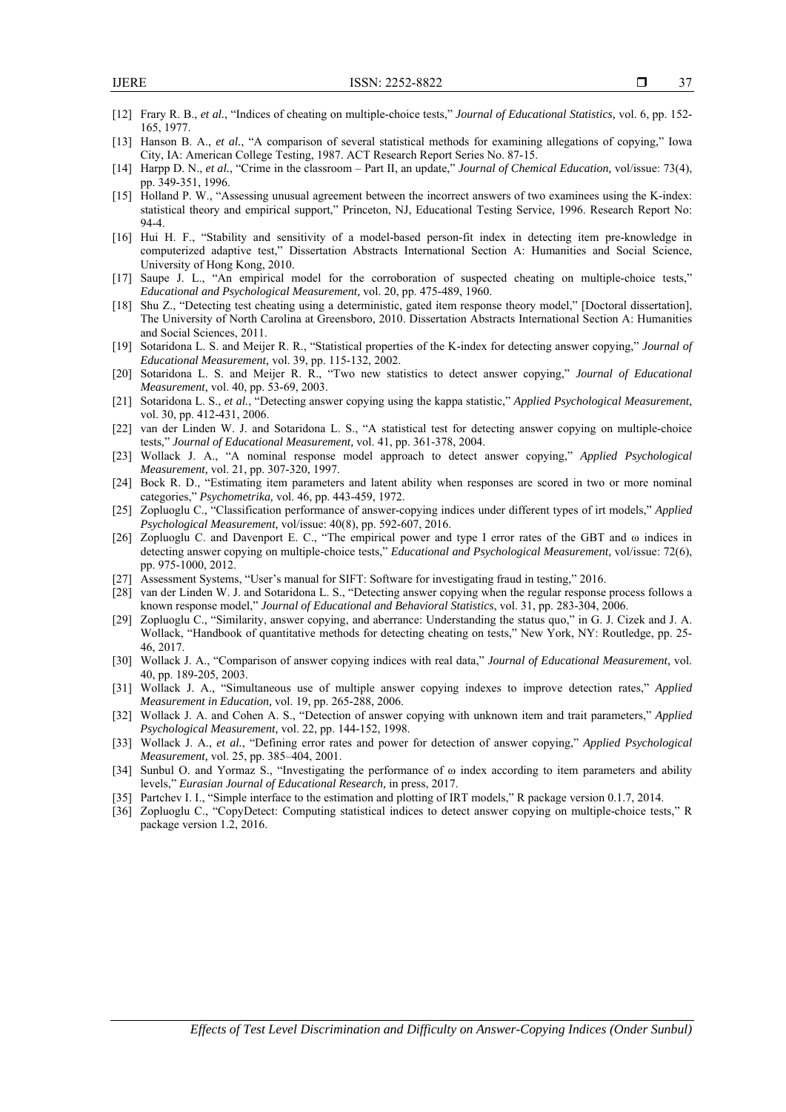- [12] Frary R. B., *et al.*, "Indices of cheating on multiple-choice tests," *Journal of Educational Statistics,* vol. 6, pp. 152- 165, 1977.
- [13] Hanson B. A., *et al.*, "A comparison of several statistical methods for examining allegations of copying," Iowa City, IA: American College Testing, 1987. ACT Research Report Series No. 87-15.
- [14] Harpp D. N., *et al.*, "Crime in the classroom Part II, an update," *Journal of Chemical Education,* vol/issue: 73(4), pp. 349-351, 1996.
- [15] Holland P. W., "Assessing unusual agreement between the incorrect answers of two examinees using the K-index: statistical theory and empirical support," Princeton, NJ, Educational Testing Service, 1996. Research Report No: 94-4.
- [16] Hui H. F., "Stability and sensitivity of a model-based person-fit index in detecting item pre-knowledge in computerized adaptive test," Dissertation Abstracts International Section A: Humanities and Social Science, University of Hong Kong, 2010.
- [17] Saupe J. L., "An empirical model for the corroboration of suspected cheating on multiple-choice tests," *Educational and Psychological Measurement,* vol. 20, pp. 475-489, 1960.
- [18] Shu Z., "Detecting test cheating using a deterministic, gated item response theory model," [Doctoral dissertation], The University of North Carolina at Greensboro, 2010. Dissertation Abstracts International Section A: Humanities and Social Sciences, 2011.
- [19] Sotaridona L. S. and Meijer R. R., "Statistical properties of the K-index for detecting answer copying," *Journal of Educational Measurement,* vol. 39, pp. 115-132, 2002.
- [20] Sotaridona L. S. and Meijer R. R., "Two new statistics to detect answer copying," *Journal of Educational Measurement,* vol. 40, pp. 53-69, 2003.
- [21] Sotaridona L. S., *et al.*, "Detecting answer copying using the kappa statistic," *Applied Psychological Measurement,* vol. 30, pp. 412-431, 2006.
- [22] van der Linden W. J. and Sotaridona L. S., "A statistical test for detecting answer copying on multiple-choice tests," *Journal of Educational Measurement,* vol. 41, pp. 361-378, 2004.
- [23] Wollack J. A., "A nominal response model approach to detect answer copying," *Applied Psychological Measurement,* vol. 21, pp. 307-320, 1997.
- [24] Bock R. D., "Estimating item parameters and latent ability when responses are scored in two or more nominal categories," *Psychometrika,* vol. 46, pp. 443-459, 1972.
- [25] Zopluoglu C., "Classification performance of answer-copying indices under different types of irt models," *Applied Psychological Measurement,* vol/issue: 40(8), pp. 592-607, 2016.
- [26] Zopluoglu C. and Davenport E. C., "The empirical power and type I error rates of the GBT and ω indices in detecting answer copying on multiple-choice tests," *Educational and Psychological Measurement,* vol/issue: 72(6), pp. 975-1000, 2012.
- [27] Assessment Systems, "User's manual for SIFT: Software for investigating fraud in testing," 2016.
- [28] van der Linden W. J. and Sotaridona L. S., "Detecting answer copying when the regular response process follows a known response model," *Journal of Educational and Behavioral Statistics*, vol. 31, pp. 283-304, 2006.
- [29] Zopluoglu C., "Similarity, answer copying, and aberrance: Understanding the status quo," in G. J. Cizek and J. A. Wollack, "Handbook of quantitative methods for detecting cheating on tests," New York, NY: Routledge, pp. 25- 46, 2017.
- [30] Wollack J. A., "Comparison of answer copying indices with real data," *Journal of Educational Measurement,* vol. 40, pp. 189-205, 2003.
- [31] Wollack J. A., "Simultaneous use of multiple answer copying indexes to improve detection rates," *Applied Measurement in Education,* vol. 19, pp. 265-288, 2006.
- [32] Wollack J. A. and Cohen A. S., "Detection of answer copying with unknown item and trait parameters," *Applied Psychological Measurement,* vol. 22, pp. 144-152, 1998.
- [33] Wollack J. A., *et al.*, "Defining error rates and power for detection of answer copying," *Applied Psychological Measurement,* vol. 25, pp. 385–404, 2001.
- [34] Sunbul O. and Yormaz S., "Investigating the performance of ω index according to item parameters and ability levels," *Eurasian Journal of Educational Research,* in press, 2017.
- [35] Partchev I. I., "Simple interface to the estimation and plotting of IRT models," R package version 0.1.7, 2014.
- [36] Zopluoglu C., "CopyDetect: Computing statistical indices to detect answer copying on multiple-choice tests," R package version 1.2, 2016.